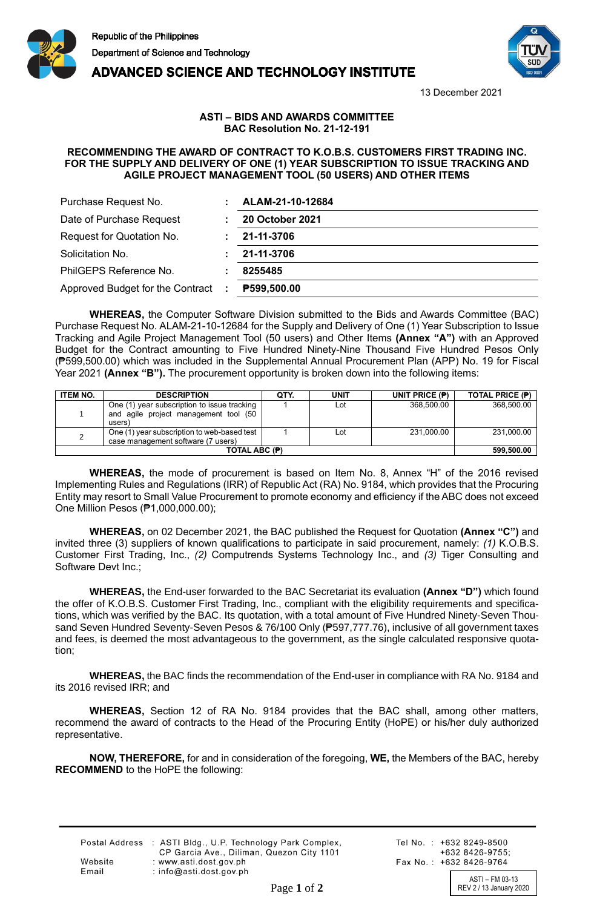



**ADVANCED SCIENCE AND TECHNOLOGY INSTITUTE** 

13 December 2021

## **ASTI – BIDS AND AWARDS COMMITTEE BAC Resolution No. 21-12-191**

## **RECOMMENDING THE AWARD OF CONTRACT TO K.O.B.S. CUSTOMERS FIRST TRADING INC. FOR THE SUPPLY AND DELIVERY OF ONE (1) YEAR SUBSCRIPTION TO ISSUE TRACKING AND AGILE PROJECT MANAGEMENT TOOL (50 USERS) AND OTHER ITEMS**

| Purchase Request No.                     | ALAM-21-10-12684       |
|------------------------------------------|------------------------|
| Date of Purchase Request                 | <b>20 October 2021</b> |
| Request for Quotation No.                | 21-11-3706             |
| Solicitation No.                         | 21-11-3706             |
| PhilGEPS Reference No.                   | 8255485                |
| Approved Budget for the Contract<br>- 11 | <b>P599,500.00</b>     |

**WHEREAS,** the Computer Software Division submitted to the Bids and Awards Committee (BAC) Purchase Request No. ALAM-21-10-12684 for the Supply and Delivery of One (1) Year Subscription to Issue Tracking and Agile Project Management Tool (50 users) and Other Items **(Annex "A")** with an Approved Budget for the Contract amounting to Five Hundred Ninety-Nine Thousand Five Hundred Pesos Only (₱599,500.00) which was included in the Supplemental Annual Procurement Plan (APP) No. 19 for Fiscal Year 2021 **(Annex "B").** The procurement opportunity is broken down into the following items:

| <b>ITEM NO.</b> | <b>DESCRIPTION</b>                          | QTY. | <b>UNIT</b> | UNIT PRICE $(P)$ | TOTAL PRICE (P) |
|-----------------|---------------------------------------------|------|-------------|------------------|-----------------|
|                 | One (1) year subscription to issue tracking |      | Lot         | 368.500.00       | 368,500.00      |
|                 | and agile project management tool (50       |      |             |                  |                 |
|                 | users)                                      |      |             |                  |                 |
|                 | One (1) year subscription to web-based test |      | Lot         | 231.000.00       | 231,000.00      |
|                 | case management software (7 users)          |      |             |                  |                 |
| TOTAL ABC (P)   |                                             |      |             |                  | 599,500.00      |

**WHEREAS,** the mode of procurement is based on Item No. 8, Annex "H" of the 2016 revised Implementing Rules and Regulations (IRR) of Republic Act (RA) No. 9184, which provides that the Procuring Entity may resort to Small Value Procurement to promote economy and efficiency if the ABC does not exceed One Million Pesos (₱1,000,000.00);

**WHEREAS,** on 02 December 2021, the BAC published the Request for Quotation **(Annex "C")** and invited three (3) suppliers of known qualifications to participate in said procurement, namely: *(1)* K.O.B.S. Customer First Trading, Inc., *(2)* Computrends Systems Technology Inc., and *(3)* Tiger Consulting and Software Devt Inc.;

**WHEREAS,** the End-user forwarded to the BAC Secretariat its evaluation **(Annex "D")** which found the offer of K.O.B.S. Customer First Trading, Inc., compliant with the eligibility requirements and specifications, which was verified by the BAC. Its quotation, with a total amount of Five Hundred Ninety-Seven Thousand Seven Hundred Seventy-Seven Pesos & 76/100 Only (₱597,777.76), inclusive of all government taxes and fees, is deemed the most advantageous to the government, as the single calculated responsive quotation;

**WHEREAS,** the BAC finds the recommendation of the End-user in compliance with RA No. 9184 and its 2016 revised IRR; and

**WHEREAS,** Section 12 of RA No. 9184 provides that the BAC shall, among other matters, recommend the award of contracts to the Head of the Procuring Entity (HoPE) or his/her duly authorized representative.

**NOW, THEREFORE,** for and in consideration of the foregoing, **WE,** the Members of the BAC, hereby **RECOMMEND** to the HoPE the following:

|         | Postal Address : ASTI Bldg., U.P. Technology Park Complex, |
|---------|------------------------------------------------------------|
|         | CP Garcia Ave., Diliman, Quezon City 1101                  |
| Website | : www.asti.dost.gov.ph                                     |
| Email   | $:$ info@asti.dost.gov.ph                                  |

Tel No.: +632 8249-8500  $+6328426-9755$ Fax No.: +632 8426-9764

ASTI – FM 03-13 Page 1 of 2 REV 2 / 13 January 2020